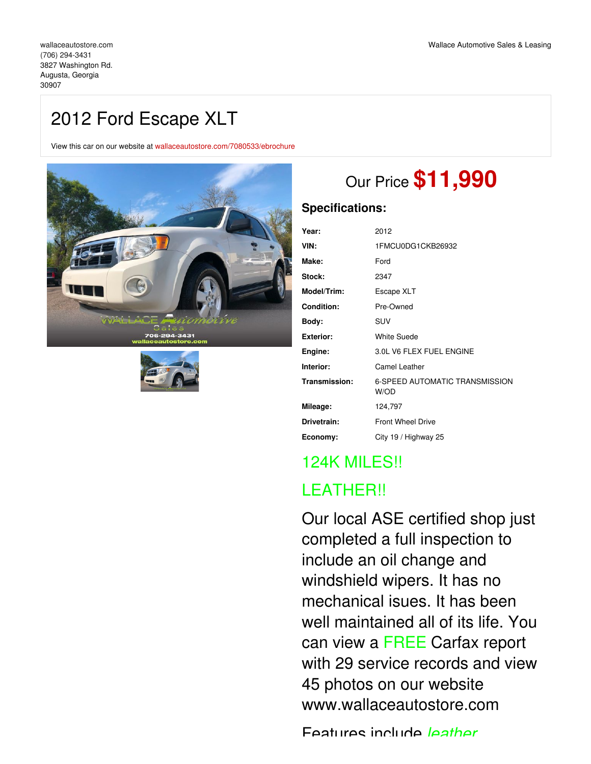# 2012 Ford Escape XLT

View this car on our website at [wallaceautostore.com/7080533/ebrochure](https://wallaceautostore.com/vehicle/7080533/2012-ford-escape-xlt-augusta-georgia-30907/7080533/ebrochure)





# Our Price **\$11,990**

## **Specifications:**

| Year:              | 2012                                          |
|--------------------|-----------------------------------------------|
| VIN:               | 1FMCU0DG1CKB26932                             |
| Make:              | Ford                                          |
| <b>Stock:</b>      | 2347                                          |
| <b>Model/Trim:</b> | Escape XLT                                    |
| <b>Condition:</b>  | Pre-Owned                                     |
| Body:              | SUV                                           |
| Exterior:          | <b>White Suede</b>                            |
| Engine:            | 3.0L V6 FLEX FUEL ENGINE                      |
| Interior:          | <b>Camel Leather</b>                          |
| Transmission:      | <b>6-SPEED AUTOMATIC TRANSMISSION</b><br>W/OD |
| Mileage:           | 124,797                                       |
| Drivetrain:        | <b>Front Wheel Drive</b>                      |
| Economy:           | City 19 / Highway 25                          |
|                    |                                               |

## 124K MILES!! LEATHER!!

Our local ASE certified shop just completed a full inspection to include an oil change and windshield wipers. It has no mechanical isues. It has been well maintained all of its life. You can view a FREE Carfax report with 29 service records and view 45 photos on our website www.wallaceautostore.com

Features include *leather,*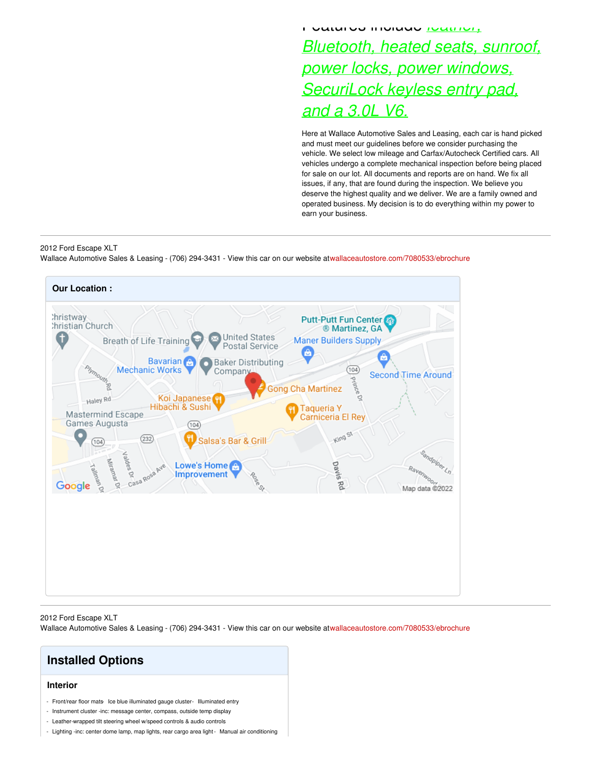## Features include *leather, Bluetooth, heated seats, sunroof, power locks, power windows, SecuriLock keyless entry pad, and a 3.0L V6.*

Here at Wallace Automotive Sales and Leasing, each car is hand picked and must meet our guidelines before we consider purchasing the vehicle. We select low mileage and Carfax/Autocheck Certified cars. All vehicles undergo a complete mechanical inspection before being placed for sale on our lot. All documents and reports are on hand. We fix all issues, if any, that are found during the inspection. We believe you deserve the highest quality and we deliver. We are a family owned and operated business. My decision is to do everything within my power to earn your business.

### 2012 Ford Escape XLT

Wallace Automotive Sales & Leasing - (706) 294-3431 - View this car on our website at[wallaceautostore.com/7080533/ebrochure](https://wallaceautostore.com/vehicle/7080533/2012-ford-escape-xlt-augusta-georgia-30907/7080533/ebrochure)



#### 2012 Ford Escape XLT

Wallace Automotive Sales & Leasing - (706) 294-3431 - View this car on our website at[wallaceautostore.com/7080533/ebrochure](https://wallaceautostore.com/vehicle/7080533/2012-ford-escape-xlt-augusta-georgia-30907/7080533/ebrochure)

## **Installed Options**

## **Interior**

- Front/rear floor mats- Ice blue illuminated gauge cluster- Illuminated entry
- Instrument cluster -inc: message center, compass, outside temp display
- Leather-wrapped tilt steering wheel w/speed controls & audio controls
- Lighting -inc: center dome lamp, map lights, rear cargo area light- Manual air conditioning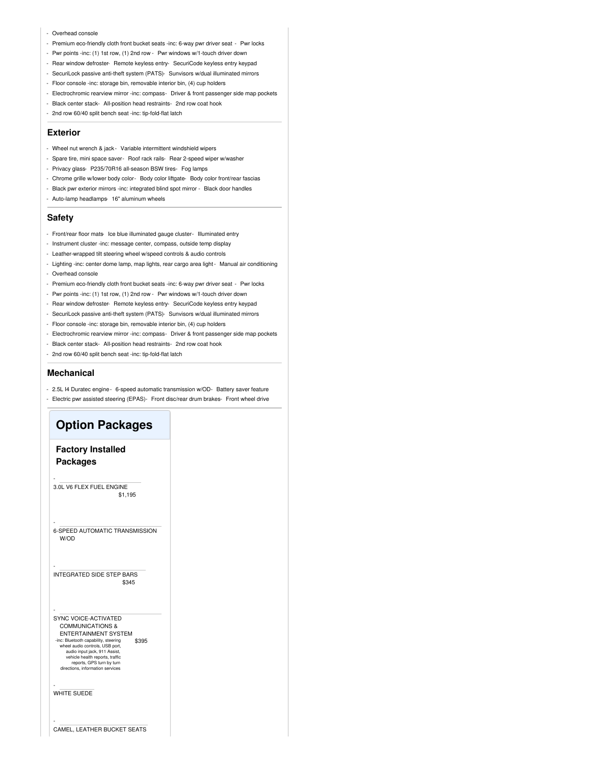#### - Overhead console

- Premium eco-friendly cloth front bucket seats -inc: 6-way pwr driver seat Pwr locks
- Pwr points -inc: (1) 1st row, (1) 2nd row Pwr windows w/1-touch driver down
- Rear window defroster- Remote keyless entry- SecuriCode keyless entry keypad
- SecuriLock passive anti-theft system (PATS)- Sunvisors w/dual illuminated mirrors
- Floor console -inc: storage bin, removable interior bin, (4) cup holders
- Electrochromic rearview mirror -inc: compass- Driver & front passenger side map pockets
- Black center stack- All-position head restraints- 2nd row coat hook
- 2nd row 60/40 split bench seat -inc: tip-fold-flat latch

#### **Exterior**

- Wheel nut wrench & jack- Variable intermittent windshield wipers
- Spare tire, mini space saver- Roof rack rails- Rear 2-speed wiper w/washer
- Privacy glass- P235/70R16 all-season BSW tires- Fog lamps
- Chrome grille w/lower body color- Body color liftgate- Body color front/rear fascias
- Black pwr exterior mirrors -inc: integrated blind spot mirror Black door handles
- Auto-lamp headlamps- 16" aluminum wheels

## **Safety**

- Front/rear floor mats- Ice blue illuminated gauge cluster- Illuminated entry
- Instrument cluster -inc: message center, compass, outside temp display
- Leather-wrapped tilt steering wheel w/speed controls & audio controls
- Lighting -inc: center dome lamp, map lights, rear cargo area light- Manual air conditioning - Overhead console
- Premium eco-friendly cloth front bucket seats -inc: 6-way pwr driver seat Pwr locks
- Pwr points -inc: (1) 1st row, (1) 2nd row Pwr windows w/1-touch driver down
- Rear window defroster- Remote keyless entry- SecuriCode keyless entry keypad
- SecuriLock passive anti-theft system (PATS)- Sunvisors w/dual illuminated mirrors
- Floor console -inc: storage bin, removable interior bin, (4) cup holders
- Electrochromic rearview mirror -inc: compass- Driver & front passenger side map pockets
- Black center stack- All-position head restraints- 2nd row coat hook
- 2nd row 60/40 split bench seat -inc: tip-fold-flat latch

### **Mechanical**

- 2.5L I4 Duratec engine- 6-speed automatic transmission w/OD- Battery saver feature
- Electric pwr assisted steering (EPAS)- Front disc/rear drum brakes- Front wheel drive

## **Option Packages Factory Installed Packages** \$1,195 - 3.0L V6 FLEX FUEL ENGINE - 6-SPEED AUTOMATIC TRANSMISSION W/OD \$345 - INTEGRATED SIDE STEP BARS \$395 - SYNC VOICE-ACTIVATED COMMUNICATIONS & ENTERTAINMENT SYSTEM -inc: Bluetooth capability, steering wheel audio controls, USB port, audio input jack, 911 Ass vehicle health reports, traffic reports, GPS turn by turn directions, information services - WHITE SUEDE - CAMEL, LEATHER BUCKET SEATS